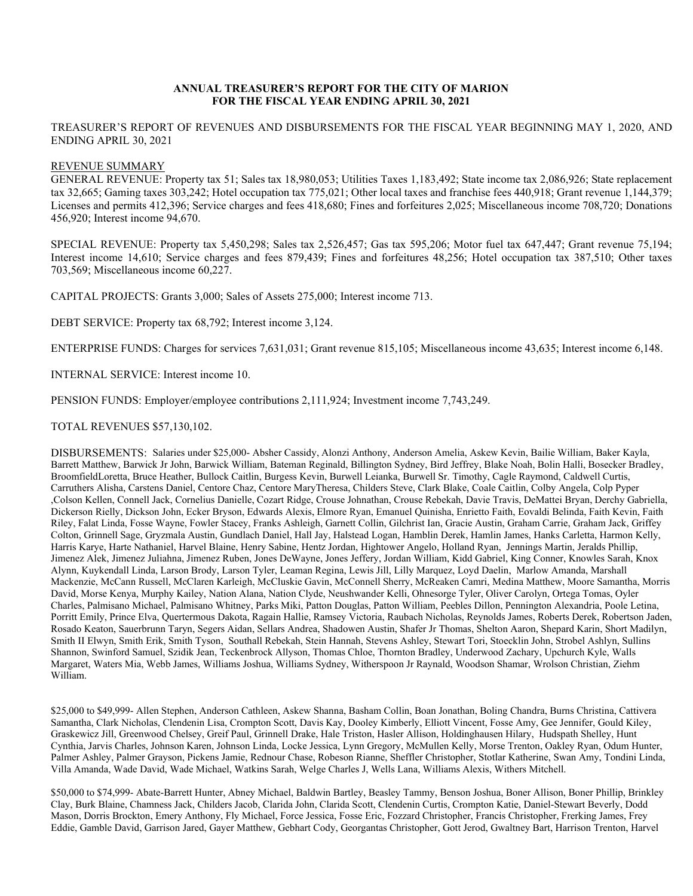## **ANNUAL TREASURER'S REPORT FOR THE CITY OF MARION FOR THE FISCAL YEAR ENDING APRIL 30, 2021**

TREASURER'S REPORT OF REVENUES AND DISBURSEMENTS FOR THE FISCAL YEAR BEGINNING MAY 1, 2020, AND ENDING APRIL 30, 2021

## REVENUE SUMMARY

GENERAL REVENUE: Property tax 51; Sales tax 18,980,053; Utilities Taxes 1,183,492; State income tax 2,086,926; State replacement tax 32,665; Gaming taxes 303,242; Hotel occupation tax 775,021; Other local taxes and franchise fees 440,918; Grant revenue 1,144,379; Licenses and permits 412,396; Service charges and fees 418,680; Fines and forfeitures 2,025; Miscellaneous income 708,720; Donations 456,920; Interest income 94,670.

SPECIAL REVENUE: Property tax 5,450,298; Sales tax 2,526,457; Gas tax 595,206; Motor fuel tax 647,447; Grant revenue 75,194; Interest income 14,610; Service charges and fees 879,439; Fines and forfeitures 48,256; Hotel occupation tax 387,510; Other taxes 703,569; Miscellaneous income 60,227.

CAPITAL PROJECTS: Grants 3,000; Sales of Assets 275,000; Interest income 713.

DEBT SERVICE: Property tax 68,792; Interest income 3,124.

ENTERPRISE FUNDS: Charges for services 7,631,031; Grant revenue 815,105; Miscellaneous income 43,635; Interest income 6,148.

INTERNAL SERVICE: Interest income 10.

PENSION FUNDS: Employer/employee contributions 2,111,924; Investment income 7,743,249.

TOTAL REVENUES \$57,130,102.

DISBURSEMENTS: Salaries under \$25,000- Absher Cassidy, Alonzi Anthony, Anderson Amelia, Askew Kevin, Bailie William, Baker Kayla, Barrett Matthew, Barwick Jr John, Barwick William, Bateman Reginald, Billington Sydney, Bird Jeffrey, Blake Noah, Bolin Halli, Bosecker Bradley, BroomfieldLoretta, Bruce Heather, Bullock Caitlin, Burgess Kevin, Burwell Leianka, Burwell Sr. Timothy, Cagle Raymond, Caldwell Curtis, Carruthers Alisha, Carstens Daniel, Centore Chaz, Centore MaryTheresa, Childers Steve, Clark Blake, Coale Caitlin, Colby Angela, Colp Pyper ,Colson Kellen, Connell Jack, Cornelius Danielle, Cozart Ridge, Crouse Johnathan, Crouse Rebekah, Davie Travis, DeMattei Bryan, Derchy Gabriella, Dickerson Rielly, Dickson John, Ecker Bryson, Edwards Alexis, Elmore Ryan, Emanuel Quinisha, Enrietto Faith, Eovaldi Belinda, Faith Kevin, Faith Riley, Falat Linda, Fosse Wayne, Fowler Stacey, Franks Ashleigh, Garnett Collin, Gilchrist Ian, Gracie Austin, Graham Carrie, Graham Jack, Griffey Colton, Grinnell Sage, Gryzmala Austin, Gundlach Daniel, Hall Jay, Halstead Logan, Hamblin Derek, Hamlin James, Hanks Carletta, Harmon Kelly, Harris Karye, Harte Nathaniel, Harvel Blaine, Henry Sabine, Hentz Jordan, Hightower Angelo, Holland Ryan, Jennings Martin, Jeralds Phillip, Jimenez Alek, Jimenez Juliahna, Jimenez Ruben, Jones DeWayne, Jones Jeffery, Jordan William, Kidd Gabriel, King Conner, Knowles Sarah, Knox Alynn, Kuykendall Linda, Larson Brody, Larson Tyler, Leaman Regina, Lewis Jill, Lilly Marquez, Loyd Daelin, Marlow Amanda, Marshall Mackenzie, McCann Russell, McClaren Karleigh, McCluskie Gavin, McConnell Sherry, McReaken Camri, Medina Matthew, Moore Samantha, Morris David, Morse Kenya, Murphy Kailey, Nation Alana, Nation Clyde, Neushwander Kelli, Ohnesorge Tyler, Oliver Carolyn, Ortega Tomas, Oyler Charles, Palmisano Michael, Palmisano Whitney, Parks Miki, Patton Douglas, Patton William, Peebles Dillon, Pennington Alexandria, Poole Letina, Porritt Emily, Prince Elva, Quertermous Dakota, Ragain Hallie, Ramsey Victoria, Raubach Nicholas, Reynolds James, Roberts Derek, Robertson Jaden, Rosado Keaton, Sauerbrunn Taryn, Segers Aidan, Sellars Andrea, Shadowen Austin, Shafer Jr Thomas, Shelton Aaron, Shepard Karin, Short Madilyn, Smith II Elwyn, Smith Erik, Smith Tyson, Southall Rebekah, Stein Hannah, Stevens Ashley, Stewart Tori, Stoecklin John, Strobel Ashlyn, Sullins Shannon, Swinford Samuel, Szidik Jean, Teckenbrock Allyson, Thomas Chloe, Thornton Bradley, Underwood Zachary, Upchurch Kyle, Walls Margaret, Waters Mia, Webb James, Williams Joshua, Williams Sydney, Witherspoon Jr Raynald, Woodson Shamar, Wrolson Christian, Ziehm William.

\$25,000 to \$49,999- Allen Stephen, Anderson Cathleen, Askew Shanna, Basham Collin, Boan Jonathan, Boling Chandra, Burns Christina, Cattivera Samantha, Clark Nicholas, Clendenin Lisa, Crompton Scott, Davis Kay, Dooley Kimberly, Elliott Vincent, Fosse Amy, Gee Jennifer, Gould Kiley, Graskewicz Jill, Greenwood Chelsey, Greif Paul, Grinnell Drake, Hale Triston, Hasler Allison, Holdinghausen Hilary, Hudspath Shelley, Hunt Cynthia, Jarvis Charles, Johnson Karen, Johnson Linda, Locke Jessica, Lynn Gregory, McMullen Kelly, Morse Trenton, Oakley Ryan, Odum Hunter, Palmer Ashley, Palmer Grayson, Pickens Jamie, Rednour Chase, Robeson Rianne, Sheffler Christopher, Stotlar Katherine, Swan Amy, Tondini Linda, Villa Amanda, Wade David, Wade Michael, Watkins Sarah, Welge Charles J, Wells Lana, Williams Alexis, Withers Mitchell.

\$50,000 to \$74,999- Abate-Barrett Hunter, Abney Michael, Baldwin Bartley, Beasley Tammy, Benson Joshua, Boner Allison, Boner Phillip, Brinkley Clay, Burk Blaine, Chamness Jack, Childers Jacob, Clarida John, Clarida Scott, Clendenin Curtis, Crompton Katie, Daniel-Stewart Beverly, Dodd Mason, Dorris Brockton, Emery Anthony, Fly Michael, Force Jessica, Fosse Eric, Fozzard Christopher, Francis Christopher, Frerking James, Frey Eddie, Gamble David, Garrison Jared, Gayer Matthew, Gebhart Cody, Georgantas Christopher, Gott Jerod, Gwaltney Bart, Harrison Trenton, Harvel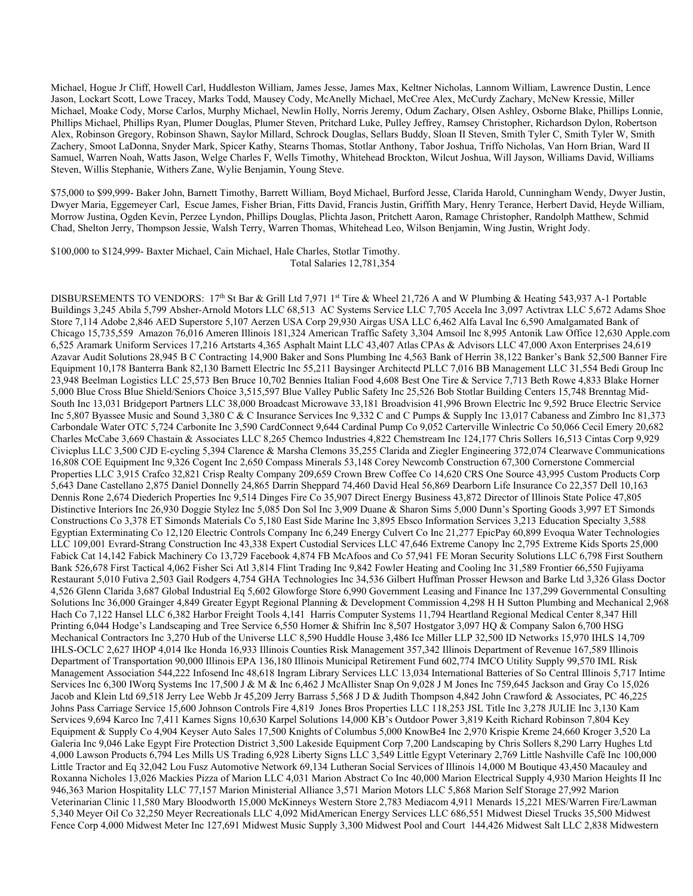Michael, Hogue Jr Cliff, Howell Carl, Huddleston William, James Jesse, James Max, Keltner Nicholas, Lannom William, Lawrence Dustin, Lence Jason, Lockart Scott, Lowe Tracey, Marks Todd, Mausey Cody, McAnelly Michael, McCree Alex, McCurdy Zachary, McNew Kressie, Miller Michael, Moake Cody, Morse Carlos, Murphy Michael, Newlin Holly, Norris Jeremy, Odum Zachary, Olsen Ashley, Osborne Blake, Phillips Lonnie, Phillips Michael, Phillips Ryan, Plumer Douglas, Plumer Steven, Pritchard Luke, Pulley Jeffrey, Ramsey Christopher, Richardson Dylon, Robertson Alex, Robinson Gregory, Robinson Shawn, Saylor Millard, Schrock Douglas, Sellars Buddy, Sloan II Steven, Smith Tyler C, Smith Tyler W, Smith Zachery, Smoot LaDonna, Snyder Mark, Spicer Kathy, Stearns Thomas, Stotlar Anthony, Tabor Joshua, Triffo Nicholas, Van Horn Brian, Ward II Samuel, Warren Noah, Watts Jason, Welge Charles F, Wells Timothy, Whitehead Brockton, Wilcut Joshua, Will Jayson, Williams David, Williams Steven, Willis Stephanie, Withers Zane, Wylie Benjamin, Young Steve.

\$75,000 to \$99,999- Baker John, Barnett Timothy, Barrett William, Boyd Michael, Burford Jesse, Clarida Harold, Cunningham Wendy, Dwyer Justin, Dwyer Maria, Eggemeyer Carl, Escue James, Fisher Brian, Fitts David, Francis Justin, Griffith Mary, Henry Terance, Herbert David, Heyde William, Morrow Justina, Ogden Kevin, Perzee Lyndon, Phillips Douglas, Plichta Jason, Pritchett Aaron, Ramage Christopher, Randolph Matthew, Schmid Chad, Shelton Jerry, Thompson Jessie, Walsh Terry, Warren Thomas, Whitehead Leo, Wilson Benjamin, Wing Justin, Wright Jody.

\$100,000 to \$124,999- Baxter Michael, Cain Michael, Hale Charles, Stotlar Timothy. Total Salaries 12,781,354

DISBURSEMENTS TO VENDORS:  $17<sup>th</sup>$  St Bar & Grill Ltd 7,971 1<sup>st</sup> Tire & Wheel 21,726 A and W Plumbing & Heating 543,937 A-1 Portable Buildings 3,245 Abila 5,799 Absher-Arnold Motors LLC 68,513 AC Systems Service LLC 7,705 Accela Inc 3,097 Activtrax LLC 5,672 Adams Shoe Store 7,114 Adobe 2,846 AED Superstore 5,107 Aerzen USA Corp 29,930 Airgas USA LLC 6,462 Alfa Laval Inc 6,590 Amalgamated Bank of Chicago 15,735,559 Amazon 76,016 Ameren Illinois 181,324 American Traffic Safety 3,304 Amsoil Inc 8,995 Antonik Law Office 12,630 Apple.com 6,525 Aramark Uniform Services 17,216 Artstarts 4,365 Asphalt Maint LLC 43,407 Atlas CPAs & Advisors LLC 47,000 Axon Enterprises 24,619 Azavar Audit Solutions 28,945 B C Contracting 14,900 Baker and Sons Plumbing Inc 4,563 Bank of Herrin 38,122 Banker's Bank 52,500 Banner Fire Equipment 10,178 Banterra Bank 82,130 Barnett Electric Inc 55,211 Baysinger Architectd PLLC 7,016 BB Management LLC 31,554 Bedi Group Inc 23,948 Beelman Logistics LLC 25,573 Ben Bruce 10,702 Bennies Italian Food 4,608 Best One Tire & Service 7,713 Beth Rowe 4,833 Blake Horner 5,000 Blue Cross Blue Shield/Seniors Choice 3,515,597 Blue Valley Public Safety Inc 25,526 Bob Stotlar Building Centers 15,748 Brenntag Mid-South Inc 13,031 Bridgeport Partners LLC 38,000 Broadcast Microwave 33,181 Broadvision 41,996 Brown Electric Inc 9,592 Bruce Electric Service Inc 5,807 Byassee Music and Sound 3,380 C & C Insurance Services Inc 9,332 C and C Pumps & Supply Inc 13,017 Cabaness and Zimbro Inc 81,373 Carbondale Water OTC 5,724 Carbonite Inc 3,590 CardConnect 9,644 Cardinal Pump Co 9,052 Carterville Winlectric Co 50,066 Cecil Emery 20,682 Charles McCabe 3,669 Chastain & Associates LLC 8,265 Chemco Industries 4,822 Chemstream Inc 124,177 Chris Sollers 16,513 Cintas Corp 9,929 Civicplus LLC 3,500 CJD E-cycling 5,394 Clarence & Marsha Clemons 35,255 Clarida and Ziegler Engineering 372,074 Clearwave Communications 16,808 COE Equipment Inc 9,326 Cogent Inc 2,650 Compass Minerals 53,148 Corey Newcomb Construction 67,300 Cornerstone Commercial Properties LLC 3,915 Crafco 32,821 Crisp Realty Company 209,659 Crown Brew Coffee Co 14,620 CRS One Source 43,995 Custom Products Corp 5,643 Dane Castellano 2,875 Daniel Donnelly 24,865 Darrin Sheppard 74,460 David Heal 56,869 Dearborn Life Insurance Co 22,357 Dell 10,163 Dennis Rone 2,674 Diederich Properties Inc 9,514 Dinges Fire Co 35,907 Direct Energy Business 43,872 Director of Illinois State Police 47,805 Distinctive Interiors Inc 26,930 Doggie Stylez Inc 5,085 Don Sol Inc 3,909 Duane & Sharon Sims 5,000 Dunn's Sporting Goods 3,997 ET Simonds Constructions Co 3,378 ET Simonds Materials Co 5,180 East Side Marine Inc 3,895 Ebsco Information Services 3,213 Education Specialty 3,588 Egyptian Exterminating Co 12,120 Electric Controls Company Inc 6,249 Energy Culvert Co Inc 21,277 EpicPay 60,899 Evoqua Water Technologies LLC 109,001 Evrard-Strang Construction Inc 43,338 Expert Custodial Services LLC 47,646 Extreme Canopy Inc 2,795 Extreme Kids Sports 25,000 Fabick Cat 14,142 Fabick Machinery Co 13,729 Facebook 4,874 FB McAfoos and Co 57,941 FE Moran Security Solutions LLC 6,798 First Southern Bank 526,678 First Tactical 4,062 Fisher Sci Atl 3,814 Flint Trading Inc 9,842 Fowler Heating and Cooling Inc 31,589 Frontier 66,550 Fujiyama Restaurant 5,010 Futiva 2,503 Gail Rodgers 4,754 GHA Technologies Inc 34,536 Gilbert Huffman Prosser Hewson and Barke Ltd 3,326 Glass Doctor 4,526 Glenn Clarida 3,687 Global Industrial Eq 5,602 Glowforge Store 6,990 Government Leasing and Finance Inc 137,299 Governmental Consulting Solutions Inc 36,000 Grainger 4,849 Greater Egypt Regional Planning & Development Commission 4,298 H H Sutton Plumbing and Mechanical 2,968 Hach Co 7,122 Hansel LLC 6,382 Harbor Freight Tools 4,141 Harris Computer Systems 11,794 Heartland Regional Medical Center 8,347 Hill Printing 6,044 Hodge's Landscaping and Tree Service 6,550 Horner & Shifrin Inc 8,507 Hostgator 3,097 HQ & Company Salon 6,700 HSG Mechanical Contractors Inc 3,270 Hub of the Universe LLC 8,590 Huddle House 3,486 Ice Miller LLP 32,500 ID Networks 15,970 IHLS 14,709 IHLS-OCLC 2,627 IHOP 4,014 Ike Honda 16,933 Illinois Counties Risk Management 357,342 Illinois Department of Revenue 167,589 Illinois Department of Transportation 90,000 Illinois EPA 136,180 Illinois Municipal Retirement Fund 602,774 IMCO Utility Supply 99,570 IML Risk Management Association 544,222 Infosend Inc 48,618 Ingram Library Services LLC 13,034 International Batteries of So Central Illinois 5,717 Intime Services Inc 6,300 IWorq Systems Inc 17,500 J & M & Inc 6,462 J McAllister Snap On 9,028 J M Jones Inc 759,645 Jackson and Gray Co 15,026 Jacob and Klein Ltd 69,518 Jerry Lee Webb Jr 45,209 Jerry Barrass 5,568 J D & Judith Thompson 4,842 John Crawford & Associates, PC 46,225 Johns Pass Carriage Service 15,600 Johnson Controls Fire 4,819 Jones Bros Properties LLC 118,253 JSL Title Inc 3,278 JULIE Inc 3,130 Kam Services 9,694 Karco Inc 7,411 Karnes Signs 10,630 Karpel Solutions 14,000 KB's Outdoor Power 3,819 Keith Richard Robinson 7,804 Key Equipment & Supply Co 4,904 Keyser Auto Sales 17,500 Knights of Columbus 5,000 KnowBe4 Inc 2,970 Krispie Kreme 24,660 Kroger 3,520 La Galeria Inc 9,046 Lake Egypt Fire Protection District 3,500 Lakeside Equipment Corp 7,200 Landscaping by Chris Sollers 8,290 Larry Hughes Ltd 4,000 Lawson Products 6,794 Les Mills US Trading 6,928 Liberty Signs LLC 3,549 Little Egypt Veterinary 2,769 Little Nashville Café Inc 100,000 Little Tractor and Eq 32,042 Lou Fusz Automotive Network 69,134 Lutheran Social Services of Illinois 14,000 M Boutique 43,450 Macauley and Roxanna Nicholes 13,026 Mackies Pizza of Marion LLC 4,031 Marion Abstract Co Inc 40,000 Marion Electrical Supply 4,930 Marion Heights II Inc 946,363 Marion Hospitality LLC 77,157 Marion Ministerial Alliance 3,571 Marion Motors LLC 5,868 Marion Self Storage 27,992 Marion Veterinarian Clinic 11,580 Mary Bloodworth 15,000 McKinneys Western Store 2,783 Mediacom 4,911 Menards 15,221 MES/Warren Fire/Lawman 5,340 Meyer Oil Co 32,250 Meyer Recreationals LLC 4,092 MidAmerican Energy Services LLC 686,551 Midwest Diesel Trucks 35,500 Midwest Fence Corp 4,000 Midwest Meter Inc 127,691 Midwest Music Supply 3,300 Midwest Pool and Court 144,426 Midwest Salt LLC 2,838 Midwestern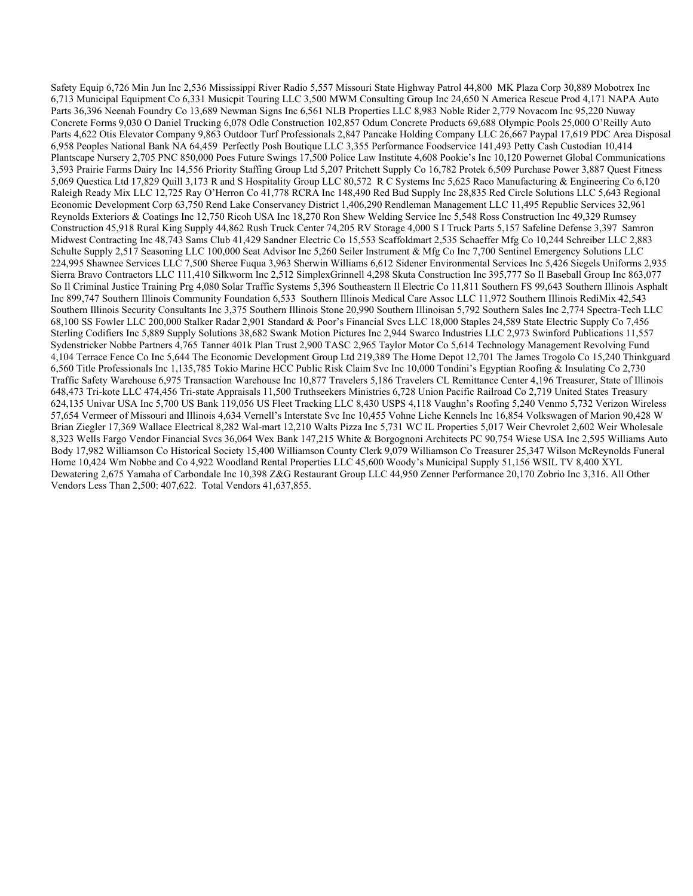Safety Equip 6,726 Min Jun Inc 2,536 Mississippi River Radio 5,557 Missouri State Highway Patrol 44,800 MK Plaza Corp 30,889 Mobotrex Inc 6,713 Municipal Equipment Co 6,331 Musicpit Touring LLC 3,500 MWM Consulting Group Inc 24,650 N America Rescue Prod 4,171 NAPA Auto Parts 36,396 Neenah Foundry Co 13,689 Newman Signs Inc 6,561 NLB Properties LLC 8,983 Noble Rider 2,779 Novacom Inc 95,220 Nuway Concrete Forms 9,030 O Daniel Trucking 6,078 Odle Construction 102,857 Odum Concrete Products 69,688 Olympic Pools 25,000 O'Reilly Auto Parts 4,622 Otis Elevator Company 9,863 Outdoor Turf Professionals 2,847 Pancake Holding Company LLC 26,667 Paypal 17,619 PDC Area Disposal 6,958 Peoples National Bank NA 64,459 Perfectly Posh Boutique LLC 3,355 Performance Foodservice 141,493 Petty Cash Custodian 10,414 Plantscape Nursery 2,705 PNC 850,000 Poes Future Swings 17,500 Police Law Institute 4,608 Pookie's Inc 10,120 Powernet Global Communications 3,593 Prairie Farms Dairy Inc 14,556 Priority Staffing Group Ltd 5,207 Pritchett Supply Co 16,782 Protek 6,509 Purchase Power 3,887 Quest Fitness 5,069 Questica Ltd 17,829 Quill 3,173 R and S Hospitality Group LLC 80,572 R C Systems Inc 5,625 Raco Manufacturing & Engineering Co 6,120 Raleigh Ready Mix LLC 12,725 Ray O'Herron Co 41,778 RCRA Inc 148,490 Red Bud Supply Inc 28,835 Red Circle Solutions LLC 5,643 Regional Economic Development Corp 63,750 Rend Lake Conservancy District 1,406,290 Rendleman Management LLC 11,495 Republic Services 32,961 Reynolds Exteriors & Coatings Inc 12,750 Ricoh USA Inc 18,270 Ron Shew Welding Service Inc 5,548 Ross Construction Inc 49,329 Rumsey Construction 45,918 Rural King Supply 44,862 Rush Truck Center 74,205 RV Storage 4,000 S I Truck Parts 5,157 Safeline Defense 3,397 Samron Midwest Contracting Inc 48,743 Sams Club 41,429 Sandner Electric Co 15,553 Scaffoldmart 2,535 Schaeffer Mfg Co 10,244 Schreiber LLC 2,883 Schulte Supply 2,517 Seasoning LLC 100,000 Seat Advisor Inc 5,260 Seiler Instrument & Mfg Co Inc 7,700 Sentinel Emergency Solutions LLC 224,995 Shawnee Services LLC 7,500 Sheree Fuqua 3,963 Sherwin Williams 6,612 Sidener Environmental Services Inc 5,426 Siegels Uniforms 2,935 Sierra Bravo Contractors LLC 111,410 Silkworm Inc 2,512 SimplexGrinnell 4,298 Skuta Construction Inc 395,777 So Il Baseball Group Inc 863,077 So Il Criminal Justice Training Prg 4,080 Solar Traffic Systems 5,396 Southeastern Il Electric Co 11,811 Southern FS 99,643 Southern Illinois Asphalt Inc 899,747 Southern Illinois Community Foundation 6,533 Southern Illinois Medical Care Assoc LLC 11,972 Southern Illinois RediMix 42,543 Southern Illinois Security Consultants Inc 3,375 Southern Illinois Stone 20,990 Southern Illinoisan 5,792 Southern Sales Inc 2,774 Spectra-Tech LLC 68,100 SS Fowler LLC 200,000 Stalker Radar 2,901 Standard & Poor's Financial Svcs LLC 18,000 Staples 24,589 State Electric Supply Co 7,456 Sterling Codifiers Inc 5,889 Supply Solutions 38,682 Swank Motion Pictures Inc 2,944 Swarco Industries LLC 2,973 Swinford Publications 11,557 Sydenstricker Nobbe Partners 4,765 Tanner 401k Plan Trust 2,900 TASC 2,965 Taylor Motor Co 5,614 Technology Management Revolving Fund 4,104 Terrace Fence Co Inc 5,644 The Economic Development Group Ltd 219,389 The Home Depot 12,701 The James Trogolo Co 15,240 Thinkguard 6,560 Title Professionals Inc 1,135,785 Tokio Marine HCC Public Risk Claim Svc Inc 10,000 Tondini's Egyptian Roofing & Insulating Co 2,730 Traffic Safety Warehouse 6,975 Transaction Warehouse Inc 10,877 Travelers 5,186 Travelers CL Remittance Center 4,196 Treasurer, State of Illinois 648,473 Tri-kote LLC 474,456 Tri-state Appraisals 11,500 Truthseekers Ministries 6,728 Union Pacific Railroad Co 2,719 United States Treasury 624,135 Univar USA Inc 5,700 US Bank 119,056 US Fleet Tracking LLC 8,430 USPS 4,118 Vaughn's Roofing 5,240 Venmo 5,732 Verizon Wireless 57,654 Vermeer of Missouri and Illinois 4,634 Vernell's Interstate Svc Inc 10,455 Vohne Liche Kennels Inc 16,854 Volkswagen of Marion 90,428 W Brian Ziegler 17,369 Wallace Electrical 8,282 Wal-mart 12,210 Walts Pizza Inc 5,731 WC IL Properties 5,017 Weir Chevrolet 2,602 Weir Wholesale 8,323 Wells Fargo Vendor Financial Svcs 36,064 Wex Bank 147,215 White & Borgognoni Architects PC 90,754 Wiese USA Inc 2,595 Williams Auto Body 17,982 Williamson Co Historical Society 15,400 Williamson County Clerk 9,079 Williamson Co Treasurer 25,347 Wilson McReynolds Funeral Home 10,424 Wm Nobbe and Co 4,922 Woodland Rental Properties LLC 45,600 Woody's Municipal Supply 51,156 WSIL TV 8,400 XYL Dewatering 2,675 Yamaha of Carbondale Inc 10,398 Z&G Restaurant Group LLC 44,950 Zenner Performance 20,170 Zobrio Inc 3,316. All Other Vendors Less Than 2,500: 407,622. Total Vendors 41,637,855.